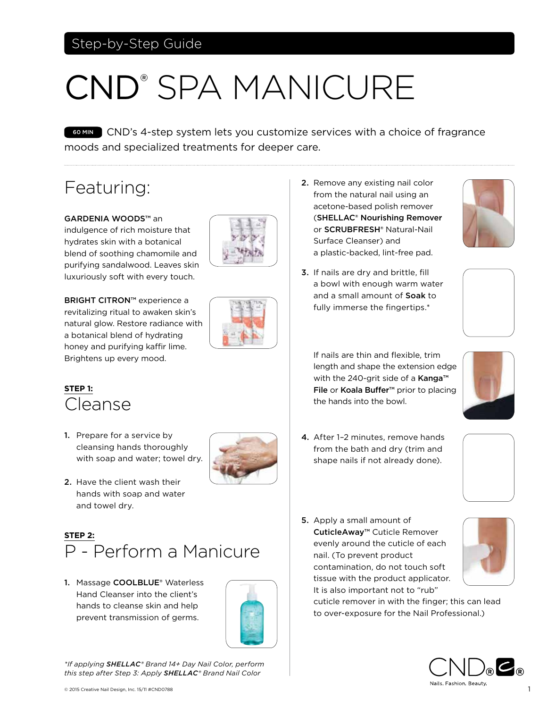## Step-by-Step Guide

# CND® SPA MANICURE

COMIN CND's 4-step system lets you customize services with a choice of fragrance moods and specialized treatments for deeper care.

# Featuring:

GARDENIA WOODS™ an indulgence of rich moisture that hydrates skin with a botanical blend of soothing chamomile and purifying sandalwood. Leaves skin luxuriously soft with every touch.

**BRIGHT CITRON™** experience a revitalizing ritual to awaken skin's natural glow. Restore radiance with a botanical blend of hydrating honey and purifying kaffir lime. Brightens up every mood.



#### **STEP 1:**  Cleanse

1. Prepare for a service by cleansing hands thoroughly with soap and water; towel dry.



2. Have the client wash their hands with soap and water and towel dry.

#### **STEP 2:**  P - Perform a Manicure

1. Massage COOLBLUE® Waterless Hand Cleanser into the client's hands to cleanse skin and help prevent transmission of germs.



*\*If applying SHELLAC® Brand 14+ Day Nail Color, perform this step after Step 3: Apply SHELLAC® Brand Nail Color*

- 2. Remove any existing nail color from the natural nail using an acetone-based polish remover (SHELLAC® Nourishing Remover or SCRUBFRESH® Natural-Nail Surface Cleanser) and a plastic-backed, lint-free pad.
- 3. If nails are dry and brittle, fill a bowl with enough warm water and a small amount of Soak to fully immerse the fingertips.\*





If nails are thin and flexible, trim length and shape the extension edge with the 240-grit side of a Kanga™ File or Koala Buffer<sup>™</sup> prior to placing the hands into the bowl.



4. After 1–2 minutes, remove hands from the bath and dry (trim and shape nails if not already done).



5. Apply a small amount of CuticleAway™ Cuticle Remover evenly around the cuticle of each nail. (To prevent product contamination, do not touch soft tissue with the product applicator. It is also important not to "rub"



cuticle remover in with the finger; this can lead to over-exposure for the Nail Professional.)

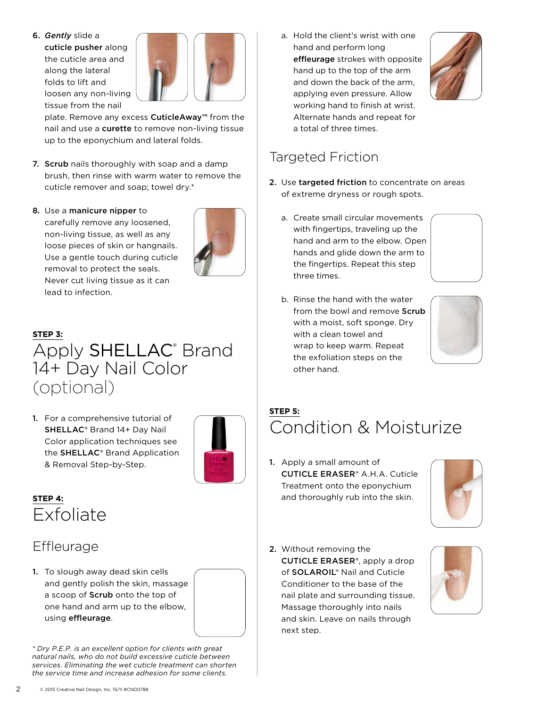6. *Gently* slide a cuticle pusher along the cuticle area and along the lateral folds to lift and loosen any non-living tissue from the nail



plate. Remove any excess **CuticleAway™** from the nail and use a curette to remove non-living tissue up to the eponychium and lateral folds.

- 7. Scrub nails thoroughly with soap and a damp brush, then rinse with warm water to remove the cuticle remover and soap; towel dry.\*
- 8. Use a manicure nipper to carefully remove any loosened, non-living tissue, as well as any loose pieces of skin or hangnails. Use a gentle touch during cuticle removal to protect the seals. Never cut living tissue as it can lead to infection.



# **STEP 3:** Apply SHELLAC<sup>®</sup> Brand 14+ Day Nail Color (optional)

1. For a comprehensive tutorial of SHELLAC® Brand 14+ Day Nail Color application techniques see the SHELLAC® Brand Application & Removal Step-by-Step.



#### **STEP 4:** Exfoliate

## **Effleurage**

1. To slough away dead skin cells and gently polish the skin, massage a scoop of Scrub onto the top of one hand and arm up to the elbow, using effleurage.

*\* Dry P.E.P. is an excellent option for clients with great natural nails, who do not build excessive cuticle between services. Eliminating the wet cuticle treatment can shorten the service time and increase adhesion for some clients.*

a. Hold the client's wrist with one hand and perform long effleurage strokes with opposite hand up to the top of the arm and down the back of the arm, applying even pressure. Allow working hand to finish at wrist. Alternate hands and repeat for a total of three times.



## Targeted Friction

- 2. Use targeted friction to concentrate on areas of extreme dryness or rough spots.
	- a. Create small circular movements with fingertips, traveling up the hand and arm to the elbow. Open hands and glide down the arm to the fingertips. Repeat this step three times.
	- b. Rinse the hand with the water from the bowl and remove Scrub with a moist, soft sponge. Dry with a clean towel and wrap to keep warm. Repeat the exfoliation steps on the other hand.



#### **STEP 5:**  Condition & Moisturize

1. Apply a small amount of CUTICLE ERASER® A.H.A. Cuticle Treatment onto the eponychium and thoroughly rub into the skin.



2. Without removing the CUTICLE ERASER®, apply a drop of SOLAROIL® Nail and Cuticle Conditioner to the base of the nail plate and surrounding tissue. Massage thoroughly into nails and skin. Leave on nails through next step.

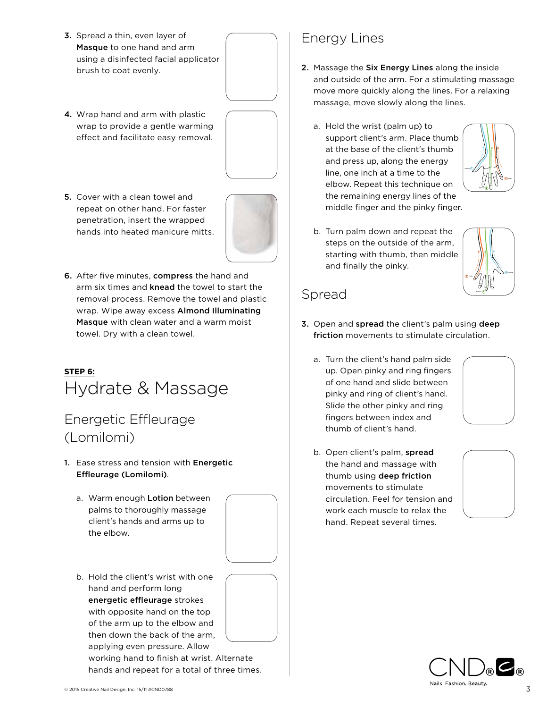- 3. Spread a thin, even layer of Masque to one hand and arm using a disinfected facial applicator brush to coat evenly.
- 4. Wrap hand and arm with plastic wrap to provide a gentle warming effect and facilitate easy removal.



5. Cover with a clean towel and repeat on other hand. For faster penetration, insert the wrapped hands into heated manicure mitts.



6. After five minutes, compress the hand and arm six times and **knead** the towel to start the removal process. Remove the towel and plastic wrap. Wipe away excess Almond Illuminating Masque with clean water and a warm moist towel. Dry with a clean towel.

#### **STEP 6:** Hydrate & Massage

#### Energetic Effleurage (Lomilomi)

- 1. Ease stress and tension with Energetic Effleurage (Lomilomi).
	- a. Warm enough Lotion between palms to thoroughly massage client's hands and arms up to the elbow.



b. Hold the client's wrist with one hand and perform long energetic effleurage strokes with opposite hand on the top of the arm up to the elbow and then down the back of the arm, applying even pressure. Allow working hand to finish at wrist. Alternate

hands and repeat for a total of three times.

Energy Lines

- 2. Massage the Six Energy Lines along the inside and outside of the arm. For a stimulating massage move more quickly along the lines. For a relaxing massage, move slowly along the lines.
	- a. Hold the wrist (palm up) to support client's arm. Place thumb at the base of the client's thumb and press up, along the energy line, one inch at a time to the elbow. Repeat this technique on the remaining energy lines of the middle finger and the pinky finger.



b. Turn palm down and repeat the steps on the outside of the arm, starting with thumb, then middle and finally the pinky.



#### Spread

- 3. Open and spread the client's palm using deep friction movements to stimulate circulation.
	- a. Turn the client's hand palm side up. Open pinky and ring fingers of one hand and slide between pinky and ring of client's hand. Slide the other pinky and ring fingers between index and thumb of client's hand.



b. Open client's palm, spread the hand and massage with thumb using deep friction movements to stimulate circulation. Feel for tension and work each muscle to relax the hand. Repeat several times.



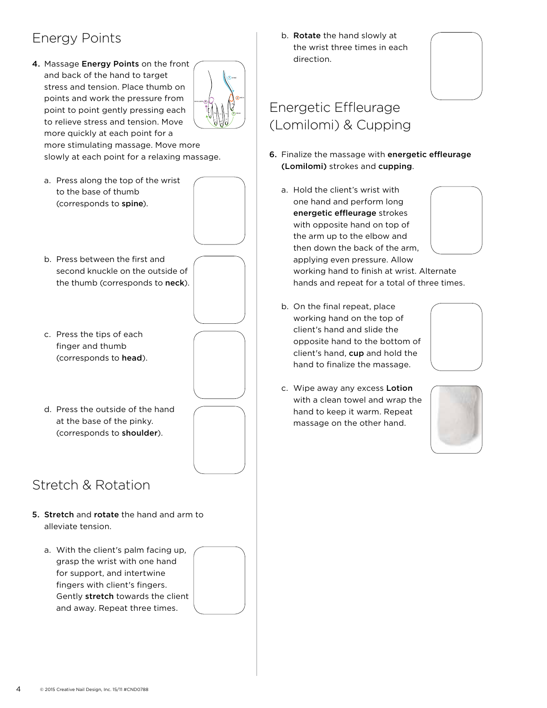## Energy Points

4. Massage Energy Points on the front and back of the hand to target stress and tension. Place thumb on points and work the pressure from point to point gently pressing each to relieve stress and tension. Move more quickly at each point for a



more stimulating massage. Move more slowly at each point for a relaxing massage.

a. Press along the top of the wrist to the base of thumb (corresponds to spine).



- b. Press between the first and second knuckle on the outside of the thumb (corresponds to neck).
- c. Press the tips of each finger and thumb (corresponds to head).
- d. Press the outside of the hand at the base of the pinky. (corresponds to shoulder).

## Stretch & Rotation

- 5. Stretch and rotate the hand and arm to alleviate tension.
	- a. With the client's palm facing up, grasp the wrist with one hand for support, and intertwine fingers with client's fingers. Gently stretch towards the client and away. Repeat three times.



b. Rotate the hand slowly at the wrist three times in each direction.



## Energetic Effleurage (Lomilomi) & Cupping

- 6. Finalize the massage with energetic effleurage (Lomilomi) strokes and cupping.
	- a. Hold the client's wrist with one hand and perform long energetic effleurage strokes with opposite hand on top of the arm up to the elbow and then down the back of the arm, applying even pressure. Allow working hand to finish at wrist. Alternate hands and repeat for a total of three times.
	- b. On the final repeat, place working hand on the top of client's hand and slide the opposite hand to the bottom of client's hand, cup and hold the hand to finalize the massage.



c. Wipe away any excess Lotion with a clean towel and wrap the hand to keep it warm. Repeat massage on the other hand.